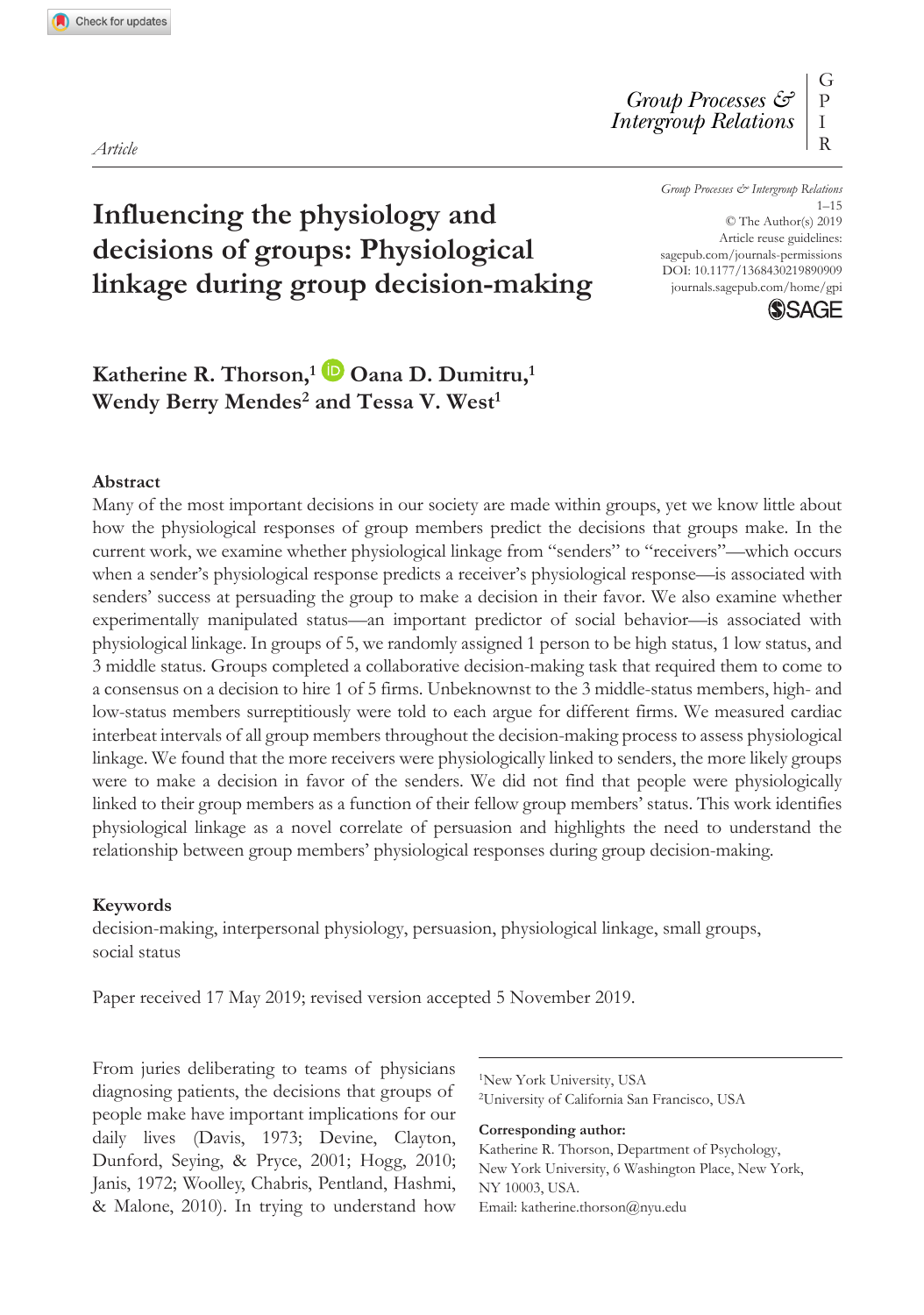*Article*

R

# **Influencing the physiology and decisions of groups: Physiological linkage during group decision-making**

DOI: 10.1177/1368430219890909 *Group Processes & Intergroup Relations*  $1 - 15$ © The Author(s) 2019 Article reuse guidelines: [sagepub.com/journals-permissions](https://uk.sagepub.com/en-gb/journals-permissions) [journals.sagepub.com/home/gpi](https://journals.sagepub.com/home/gpi)



# Katherine R. Thorson,<sup>1</sup> Oana D. Dumitru,<sup>1</sup> Wendy Berry Mendes<sup>2</sup> and Tessa V. West<sup>1</sup>

#### **Abstract**

Many of the most important decisions in our society are made within groups, yet we know little about how the physiological responses of group members predict the decisions that groups make. In the current work, we examine whether physiological linkage from "senders" to "receivers"—which occurs when a sender's physiological response predicts a receiver's physiological response—is associated with senders' success at persuading the group to make a decision in their favor. We also examine whether experimentally manipulated status—an important predictor of social behavior—is associated with physiological linkage. In groups of 5, we randomly assigned 1 person to be high status, 1 low status, and 3 middle status. Groups completed a collaborative decision-making task that required them to come to a consensus on a decision to hire 1 of 5 firms. Unbeknownst to the 3 middle-status members, high- and low-status members surreptitiously were told to each argue for different firms. We measured cardiac interbeat intervals of all group members throughout the decision-making process to assess physiological linkage. We found that the more receivers were physiologically linked to senders, the more likely groups were to make a decision in favor of the senders. We did not find that people were physiologically linked to their group members as a function of their fellow group members' status. This work identifies physiological linkage as a novel correlate of persuasion and highlights the need to understand the relationship between group members' physiological responses during group decision-making.

#### **Keywords**

decision-making, interpersonal physiology, persuasion, physiological linkage, small groups, social status

Paper received 17 May 2019; revised version accepted 5 November 2019.

From juries deliberating to teams of physicians diagnosing patients, the decisions that groups of people make have important implications for our daily lives (Davis, 1973; Devine, Clayton, Dunford, Seying, & Pryce, 2001; Hogg, 2010; Janis, 1972; Woolley, Chabris, Pentland, Hashmi, & Malone, 2010). In trying to understand how

1New York University, USA 2University of California San Francisco, USA

**Corresponding author:**

Katherine R. Thorson, Department of Psychology, New York University, 6 Washington Place, New York, NY 10003, USA. Email: [katherine.thorson@nyu.edu](mailto:katherine.thorson@nyu.edu)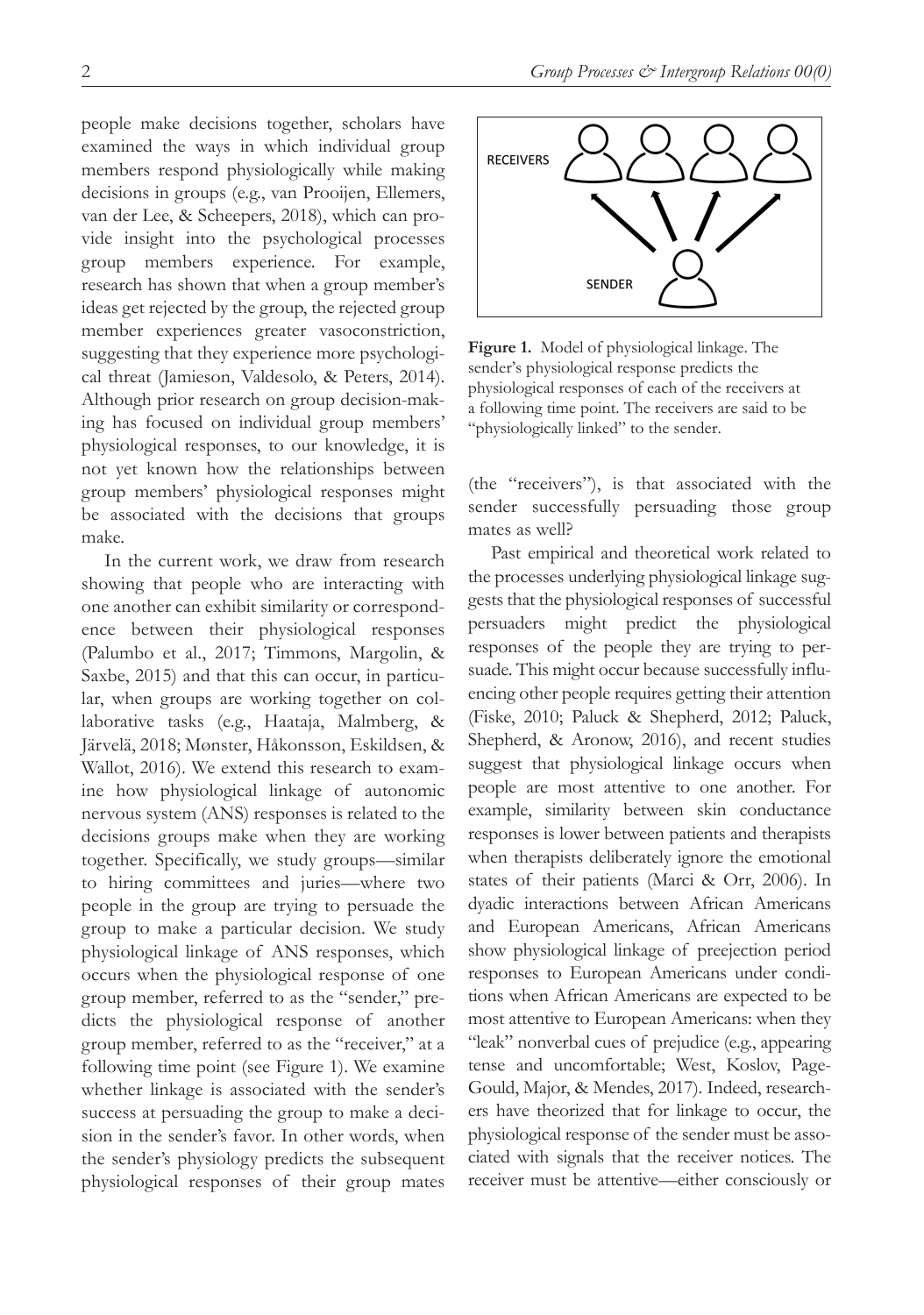people make decisions together, scholars have examined the ways in which individual group members respond physiologically while making decisions in groups (e.g., van Prooijen, Ellemers, van der Lee, & Scheepers, 2018), which can provide insight into the psychological processes group members experience. For example, research has shown that when a group member's ideas get rejected by the group, the rejected group member experiences greater vasoconstriction, suggesting that they experience more psychological threat (Jamieson, Valdesolo, & Peters, 2014). Although prior research on group decision-making has focused on individual group members' physiological responses, to our knowledge, it is not yet known how the relationships between group members' physiological responses might be associated with the decisions that groups make.

In the current work, we draw from research showing that people who are interacting with one another can exhibit similarity or correspondence between their physiological responses (Palumbo et al., 2017; Timmons, Margolin, & Saxbe, 2015) and that this can occur, in particular, when groups are working together on collaborative tasks (e.g., Haataja, Malmberg, & Järvelä, 2018; Mønster, Håkonsson, Eskildsen, & Wallot, 2016). We extend this research to examine how physiological linkage of autonomic nervous system (ANS) responses is related to the decisions groups make when they are working together. Specifically, we study groups—similar to hiring committees and juries—where two people in the group are trying to persuade the group to make a particular decision. We study physiological linkage of ANS responses, which occurs when the physiological response of one group member, referred to as the "sender," predicts the physiological response of another group member, referred to as the "receiver," at a following time point (see Figure 1). We examine whether linkage is associated with the sender's success at persuading the group to make a decision in the sender's favor. In other words, when the sender's physiology predicts the subsequent physiological responses of their group mates



**Figure 1.** Model of physiological linkage. The sender's physiological response predicts the physiological responses of each of the receivers at a following time point. The receivers are said to be "physiologically linked" to the sender.

(the "receivers"), is that associated with the sender successfully persuading those group mates as well?

Past empirical and theoretical work related to the processes underlying physiological linkage suggests that the physiological responses of successful persuaders might predict the physiological responses of the people they are trying to persuade. This might occur because successfully influencing other people requires getting their attention (Fiske, 2010; Paluck & Shepherd, 2012; Paluck, Shepherd, & Aronow, 2016), and recent studies suggest that physiological linkage occurs when people are most attentive to one another. For example, similarity between skin conductance responses is lower between patients and therapists when therapists deliberately ignore the emotional states of their patients (Marci & Orr, 2006). In dyadic interactions between African Americans and European Americans, African Americans show physiological linkage of preejection period responses to European Americans under conditions when African Americans are expected to be most attentive to European Americans: when they "leak" nonverbal cues of prejudice (e.g., appearing tense and uncomfortable; West, Koslov, Page-Gould, Major, & Mendes, 2017). Indeed, researchers have theorized that for linkage to occur, the physiological response of the sender must be associated with signals that the receiver notices. The receiver must be attentive—either consciously or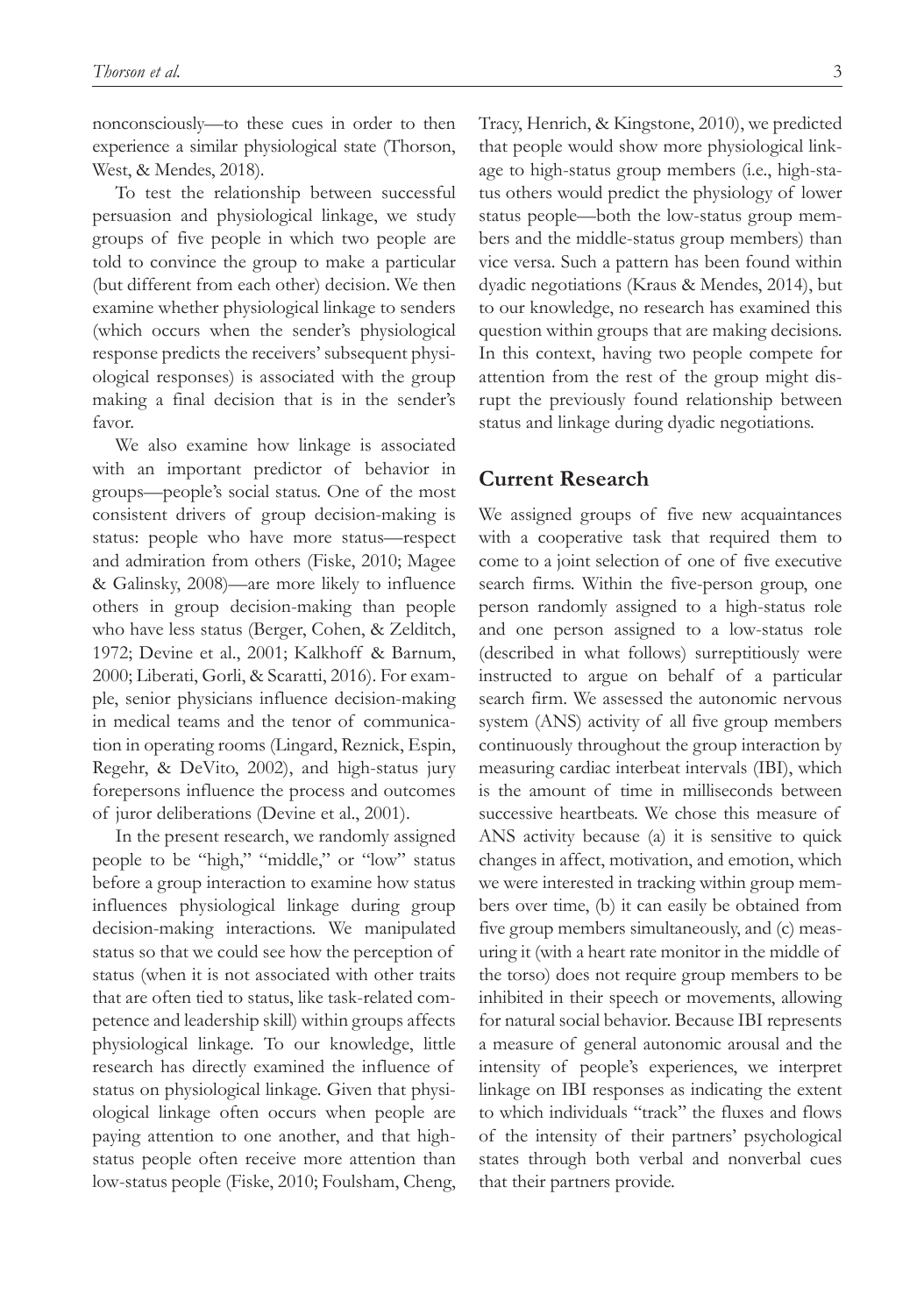nonconsciously—to these cues in order to then experience a similar physiological state (Thorson, West, & Mendes, 2018).

To test the relationship between successful persuasion and physiological linkage, we study groups of five people in which two people are told to convince the group to make a particular (but different from each other) decision. We then examine whether physiological linkage to senders (which occurs when the sender's physiological response predicts the receivers' subsequent physiological responses) is associated with the group making a final decision that is in the sender's favor.

We also examine how linkage is associated with an important predictor of behavior in groups—people's social status. One of the most consistent drivers of group decision-making is status: people who have more status—respect and admiration from others (Fiske, 2010; Magee & Galinsky, 2008)—are more likely to influence others in group decision-making than people who have less status (Berger, Cohen, & Zelditch, 1972; Devine et al., 2001; Kalkhoff & Barnum, 2000; Liberati, Gorli, & Scaratti, 2016). For example, senior physicians influence decision-making in medical teams and the tenor of communication in operating rooms (Lingard, Reznick, Espin, Regehr, & DeVito, 2002), and high-status jury forepersons influence the process and outcomes of juror deliberations (Devine et al., 2001).

In the present research, we randomly assigned people to be "high," "middle," or "low" status before a group interaction to examine how status influences physiological linkage during group decision-making interactions. We manipulated status so that we could see how the perception of status (when it is not associated with other traits that are often tied to status, like task-related competence and leadership skill) within groups affects physiological linkage. To our knowledge, little research has directly examined the influence of status on physiological linkage. Given that physiological linkage often occurs when people are paying attention to one another, and that highstatus people often receive more attention than low-status people (Fiske, 2010; Foulsham, Cheng,

Tracy, Henrich, & Kingstone, 2010), we predicted that people would show more physiological linkage to high-status group members (i.e., high-status others would predict the physiology of lower status people—both the low-status group members and the middle-status group members) than vice versa. Such a pattern has been found within dyadic negotiations (Kraus & Mendes, 2014), but to our knowledge, no research has examined this question within groups that are making decisions. In this context, having two people compete for attention from the rest of the group might disrupt the previously found relationship between status and linkage during dyadic negotiations.

# **Current Research**

We assigned groups of five new acquaintances with a cooperative task that required them to come to a joint selection of one of five executive search firms. Within the five-person group, one person randomly assigned to a high-status role and one person assigned to a low-status role (described in what follows) surreptitiously were instructed to argue on behalf of a particular search firm. We assessed the autonomic nervous system (ANS) activity of all five group members continuously throughout the group interaction by measuring cardiac interbeat intervals (IBI), which is the amount of time in milliseconds between successive heartbeats. We chose this measure of ANS activity because (a) it is sensitive to quick changes in affect, motivation, and emotion, which we were interested in tracking within group members over time, (b) it can easily be obtained from five group members simultaneously, and (c) measuring it (with a heart rate monitor in the middle of the torso) does not require group members to be inhibited in their speech or movements, allowing for natural social behavior. Because IBI represents a measure of general autonomic arousal and the intensity of people's experiences, we interpret linkage on IBI responses as indicating the extent to which individuals "track" the fluxes and flows of the intensity of their partners' psychological states through both verbal and nonverbal cues that their partners provide.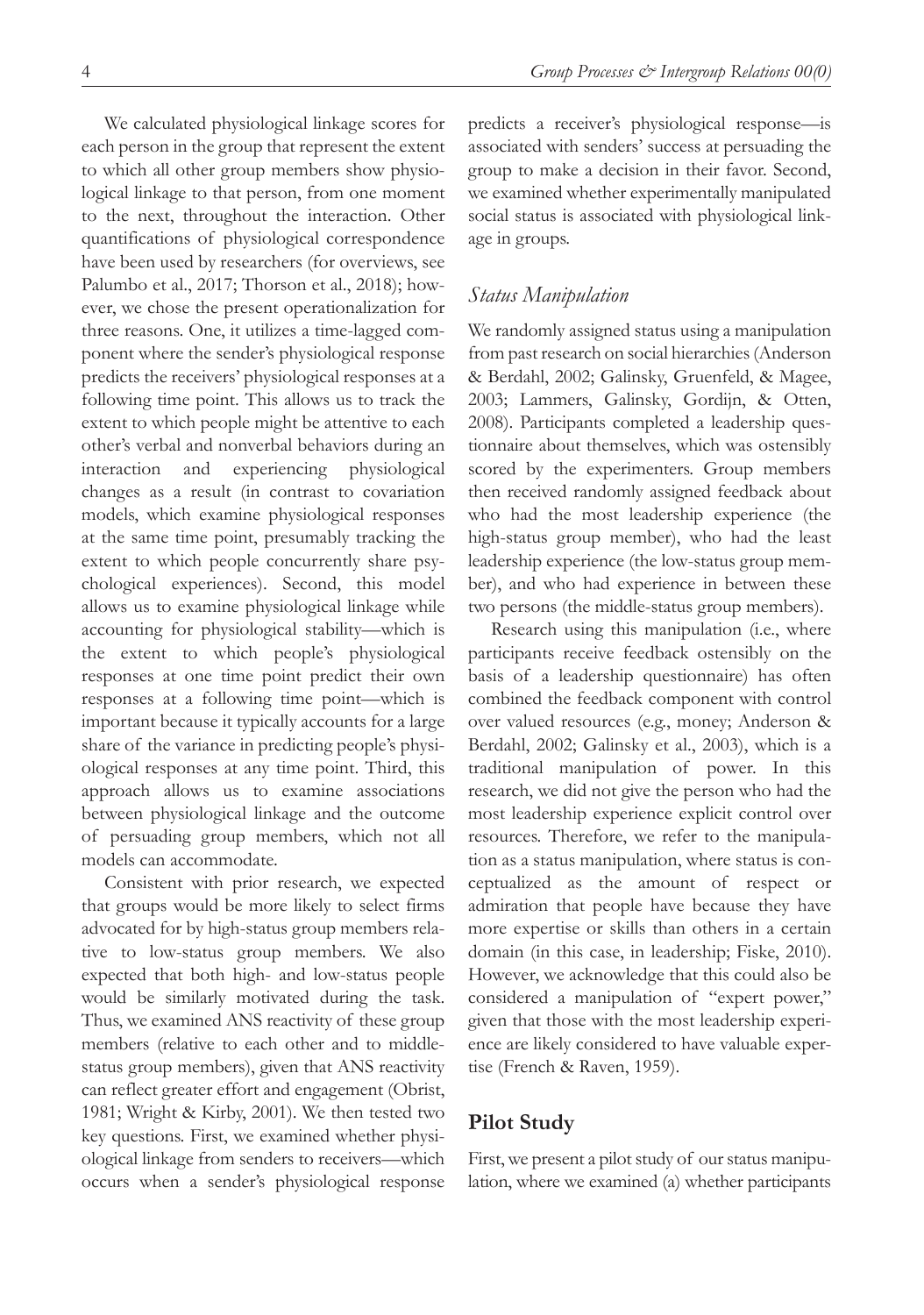We calculated physiological linkage scores for each person in the group that represent the extent to which all other group members show physiological linkage to that person, from one moment to the next, throughout the interaction. Other quantifications of physiological correspondence have been used by researchers (for overviews, see Palumbo et al., 2017; Thorson et al., 2018); however, we chose the present operationalization for three reasons. One, it utilizes a time-lagged component where the sender's physiological response predicts the receivers' physiological responses at a following time point. This allows us to track the extent to which people might be attentive to each other's verbal and nonverbal behaviors during an interaction and experiencing physiological changes as a result (in contrast to covariation models, which examine physiological responses at the same time point, presumably tracking the extent to which people concurrently share psychological experiences). Second, this model allows us to examine physiological linkage while accounting for physiological stability—which is the extent to which people's physiological responses at one time point predict their own responses at a following time point—which is important because it typically accounts for a large share of the variance in predicting people's physiological responses at any time point. Third, this approach allows us to examine associations between physiological linkage and the outcome of persuading group members, which not all models can accommodate.

Consistent with prior research, we expected that groups would be more likely to select firms advocated for by high-status group members relative to low-status group members. We also expected that both high- and low-status people would be similarly motivated during the task. Thus, we examined ANS reactivity of these group members (relative to each other and to middlestatus group members), given that ANS reactivity can reflect greater effort and engagement (Obrist, 1981; Wright & Kirby, 2001). We then tested two key questions. First, we examined whether physiological linkage from senders to receivers—which occurs when a sender's physiological response predicts a receiver's physiological response—is associated with senders' success at persuading the group to make a decision in their favor. Second, we examined whether experimentally manipulated social status is associated with physiological linkage in groups.

#### *Status Manipulation*

We randomly assigned status using a manipulation from past research on social hierarchies (Anderson & Berdahl, 2002; Galinsky, Gruenfeld, & Magee, 2003; Lammers, Galinsky, Gordijn, & Otten, 2008). Participants completed a leadership questionnaire about themselves, which was ostensibly scored by the experimenters. Group members then received randomly assigned feedback about who had the most leadership experience (the high-status group member), who had the least leadership experience (the low-status group member), and who had experience in between these two persons (the middle-status group members).

Research using this manipulation (i.e., where participants receive feedback ostensibly on the basis of a leadership questionnaire) has often combined the feedback component with control over valued resources (e.g., money; Anderson & Berdahl, 2002; Galinsky et al., 2003), which is a traditional manipulation of power. In this research, we did not give the person who had the most leadership experience explicit control over resources. Therefore, we refer to the manipulation as a status manipulation, where status is conceptualized as the amount of respect or admiration that people have because they have more expertise or skills than others in a certain domain (in this case, in leadership; Fiske, 2010). However, we acknowledge that this could also be considered a manipulation of "expert power," given that those with the most leadership experience are likely considered to have valuable expertise (French & Raven, 1959).

# **Pilot Study**

First, we present a pilot study of our status manipulation, where we examined (a) whether participants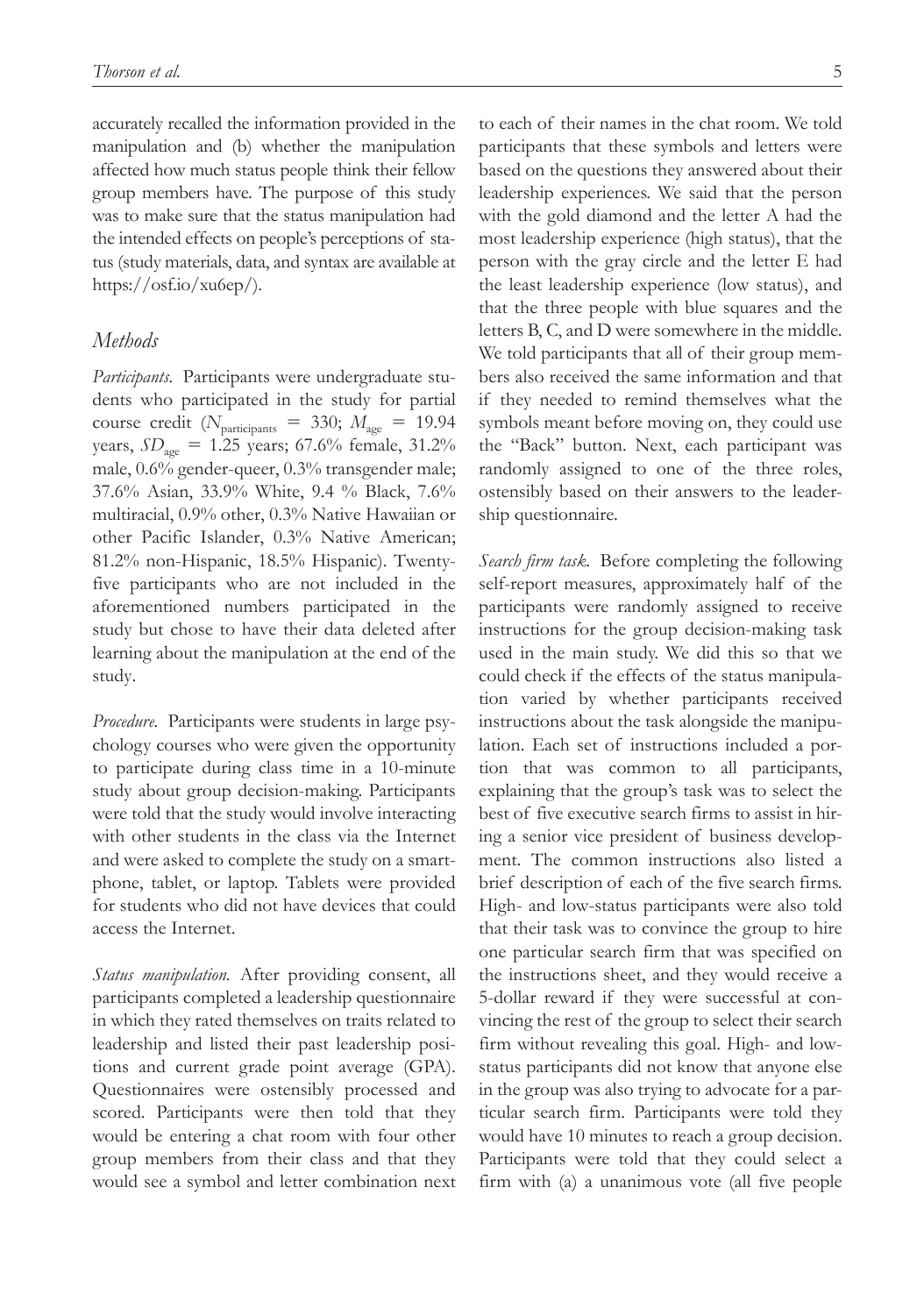accurately recalled the information provided in the manipulation and (b) whether the manipulation affected how much status people think their fellow group members have. The purpose of this study was to make sure that the status manipulation had the intended effects on people's perceptions of status (study materials, data, and syntax are available at [https://osf.io/xu6ep/\)](https://osf.io/xu6ep/).

## *Methods*

*Participants.* Participants were undergraduate students who participated in the study for partial course credit ( $N_{\text{participants}} = 330$ ;  $M_{\text{age}} = 19.94$ years,  $SD_{\text{age}} = 1.25$  years; 67.6% female, 31.2% male, 0.6% gender-queer, 0.3% transgender male; 37.6% Asian, 33.9% White, 9.4 % Black, 7.6% multiracial, 0.9% other, 0.3% Native Hawaiian or other Pacific Islander, 0.3% Native American; 81.2% non-Hispanic, 18.5% Hispanic). Twentyfive participants who are not included in the aforementioned numbers participated in the study but chose to have their data deleted after learning about the manipulation at the end of the study.

*Procedure.* Participants were students in large psychology courses who were given the opportunity to participate during class time in a 10-minute study about group decision-making. Participants were told that the study would involve interacting with other students in the class via the Internet and were asked to complete the study on a smartphone, tablet, or laptop. Tablets were provided for students who did not have devices that could access the Internet.

*Status manipulation.* After providing consent, all participants completed a leadership questionnaire in which they rated themselves on traits related to leadership and listed their past leadership positions and current grade point average (GPA). Questionnaires were ostensibly processed and scored. Participants were then told that they would be entering a chat room with four other group members from their class and that they would see a symbol and letter combination next to each of their names in the chat room. We told participants that these symbols and letters were based on the questions they answered about their leadership experiences. We said that the person with the gold diamond and the letter A had the most leadership experience (high status), that the person with the gray circle and the letter E had the least leadership experience (low status), and that the three people with blue squares and the letters B, C, and D were somewhere in the middle. We told participants that all of their group members also received the same information and that if they needed to remind themselves what the symbols meant before moving on, they could use the "Back" button. Next, each participant was randomly assigned to one of the three roles, ostensibly based on their answers to the leadership questionnaire.

*Search firm task.* Before completing the following self-report measures, approximately half of the participants were randomly assigned to receive instructions for the group decision-making task used in the main study. We did this so that we could check if the effects of the status manipulation varied by whether participants received instructions about the task alongside the manipulation. Each set of instructions included a portion that was common to all participants, explaining that the group's task was to select the best of five executive search firms to assist in hiring a senior vice president of business development. The common instructions also listed a brief description of each of the five search firms. High- and low-status participants were also told that their task was to convince the group to hire one particular search firm that was specified on the instructions sheet, and they would receive a 5-dollar reward if they were successful at convincing the rest of the group to select their search firm without revealing this goal. High- and lowstatus participants did not know that anyone else in the group was also trying to advocate for a particular search firm. Participants were told they would have 10 minutes to reach a group decision. Participants were told that they could select a firm with (a) a unanimous vote (all five people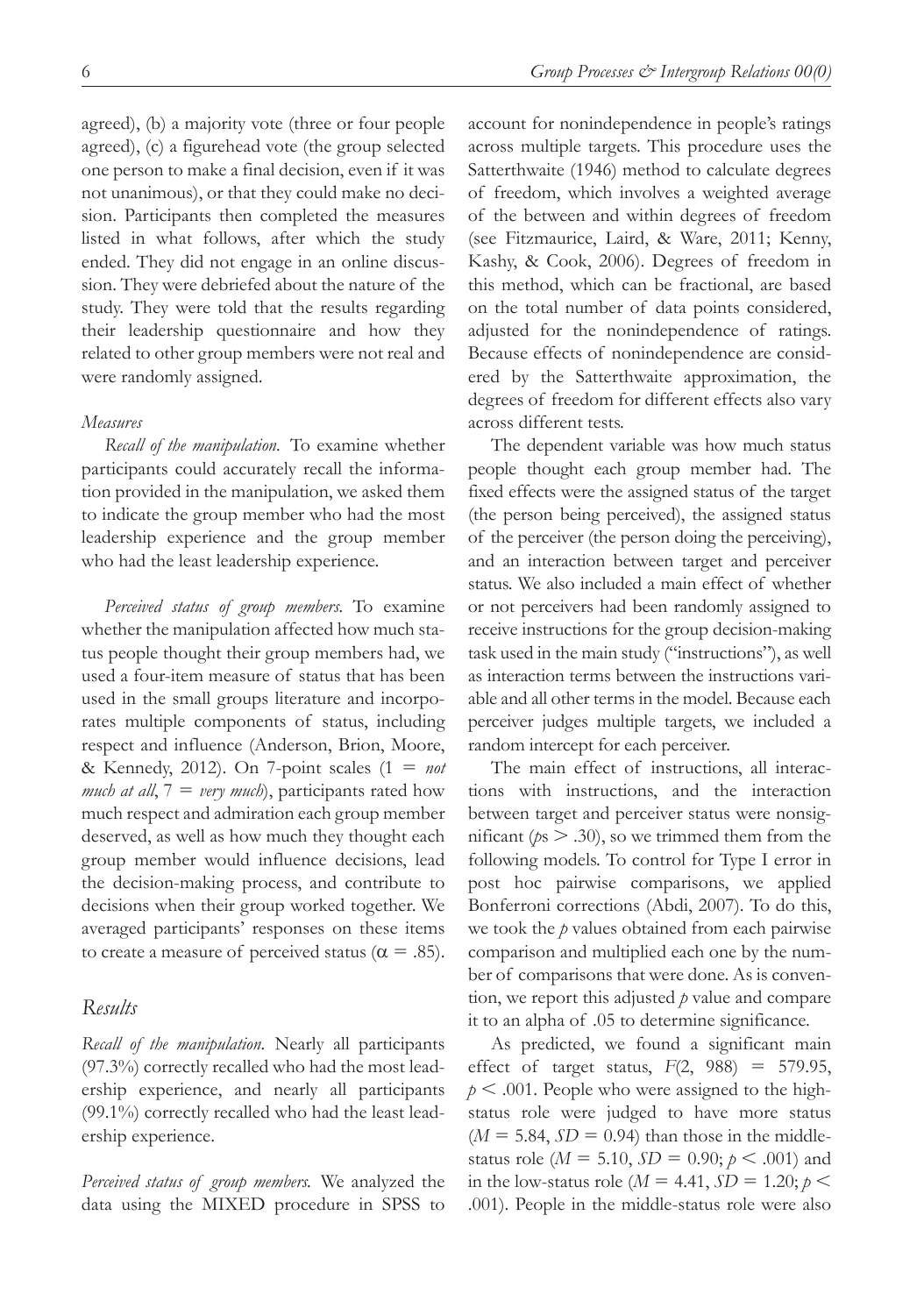agreed), (b) a majority vote (three or four people agreed), (c) a figurehead vote (the group selected one person to make a final decision, even if it was not unanimous), or that they could make no decision. Participants then completed the measures listed in what follows, after which the study ended. They did not engage in an online discussion. They were debriefed about the nature of the study. They were told that the results regarding their leadership questionnaire and how they related to other group members were not real and were randomly assigned.

#### *Measures*

*Recall of the manipulation.* To examine whether participants could accurately recall the information provided in the manipulation, we asked them to indicate the group member who had the most leadership experience and the group member who had the least leadership experience.

*Perceived status of group members.* To examine whether the manipulation affected how much status people thought their group members had, we used a four-item measure of status that has been used in the small groups literature and incorporates multiple components of status, including respect and influence (Anderson, Brion, Moore, & Kennedy, 2012). On 7-point scales (1 = *not much at all*, 7 = *very much*), participants rated how much respect and admiration each group member deserved, as well as how much they thought each group member would influence decisions, lead the decision-making process, and contribute to decisions when their group worked together. We averaged participants' responses on these items to create a measure of perceived status ( $\alpha = .85$ ).

#### *Results*

*Recall of the manipulation.* Nearly all participants (97.3%) correctly recalled who had the most leadership experience, and nearly all participants (99.1%) correctly recalled who had the least leadership experience.

*Perceived status of group members.* We analyzed the data using the MIXED procedure in SPSS to

account for nonindependence in people's ratings across multiple targets. This procedure uses the Satterthwaite (1946) method to calculate degrees of freedom, which involves a weighted average of the between and within degrees of freedom (see Fitzmaurice, Laird, & Ware, 2011; Kenny, Kashy, & Cook, 2006). Degrees of freedom in this method, which can be fractional, are based on the total number of data points considered, adjusted for the nonindependence of ratings. Because effects of nonindependence are considered by the Satterthwaite approximation, the degrees of freedom for different effects also vary across different tests.

The dependent variable was how much status people thought each group member had. The fixed effects were the assigned status of the target (the person being perceived), the assigned status of the perceiver (the person doing the perceiving), and an interaction between target and perceiver status. We also included a main effect of whether or not perceivers had been randomly assigned to receive instructions for the group decision-making task used in the main study ("instructions"), as well as interaction terms between the instructions variable and all other terms in the model. Because each perceiver judges multiple targets, we included a random intercept for each perceiver.

The main effect of instructions, all interactions with instructions, and the interaction between target and perceiver status were nonsignificant ( $ps$   $>$  .30), so we trimmed them from the following models. To control for Type I error in post hoc pairwise comparisons, we applied Bonferroni corrections (Abdi, 2007). To do this, we took the *p* values obtained from each pairwise comparison and multiplied each one by the number of comparisons that were done. As is convention, we report this adjusted *p* value and compare it to an alpha of .05 to determine significance.

As predicted, we found a significant main effect of target status, *F*(2, 988) = 579.95,  $p < .001$ . People who were assigned to the highstatus role were judged to have more status  $(M = 5.84, SD = 0.94)$  than those in the middlestatus role ( $M = 5.10$ ,  $SD = 0.90$ ;  $p < .001$ ) and in the low-status role ( $M = 4.41$ ,  $SD = 1.20$ ;  $p \le$ .001). People in the middle-status role were also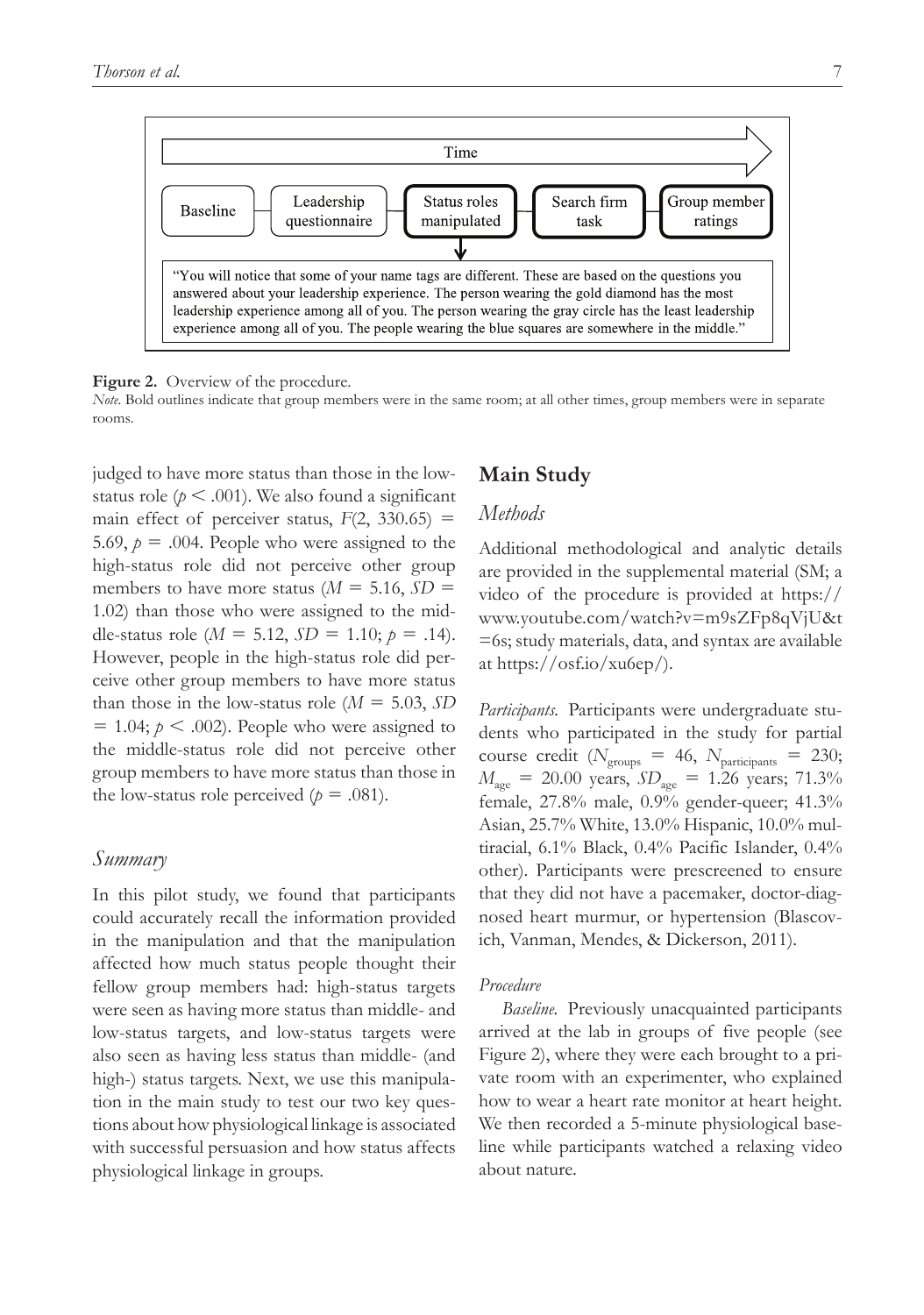

**Figure 2.** Overview of the procedure.

*Note*. Bold outlines indicate that group members were in the same room; at all other times, group members were in separate rooms.

judged to have more status than those in the lowstatus role ( $p < .001$ ). We also found a significant main effect of perceiver status,  $F(2, 330.65)$  = 5.69,  $p = 0.004$ . People who were assigned to the high-status role did not perceive other group members to have more status  $(M = 5.16, SD =$ 1.02) than those who were assigned to the middle-status role ( $M = 5.12$ ,  $SD = 1.10$ ;  $p = .14$ ). However, people in the high-status role did perceive other group members to have more status than those in the low-status role  $(M = 5.03, SD)$  $= 1.04$ ;  $p \le 0.002$ ). People who were assigned to the middle-status role did not perceive other group members to have more status than those in the low-status role perceived ( $p = .081$ ).

#### *Summary*

In this pilot study, we found that participants could accurately recall the information provided in the manipulation and that the manipulation affected how much status people thought their fellow group members had: high-status targets were seen as having more status than middle- and low-status targets, and low-status targets were also seen as having less status than middle- (and high-) status targets. Next, we use this manipulation in the main study to test our two key questions about how physiological linkage is associated with successful persuasion and how status affects physiological linkage in groups.

# **Main Study**

#### *Methods*

Additional methodological and analytic details are provided in the supplemental material (SM; a video of the procedure is provided at [https://](https://www.youtube.com/watch?v=m9sZFp8qVjU&t=6s) [www.youtube.com/watch?v=m9sZFp8qVjU&t](https://www.youtube.com/watch?v=m9sZFp8qVjU&t=6s) [=6s;](https://www.youtube.com/watch?v=m9sZFp8qVjU&t=6s) study materials, data, and syntax are available at<https://osf.io/xu6ep/>).

*Participants.* Participants were undergraduate students who participated in the study for partial course credit ( $N_{\text{groups}} = 46$ ,  $N_{\text{participants}} = 230$ ;  $M_{\text{age}} = 20.00 \text{ years}, SD_{\text{age}} = 1.26 \text{ years}; 71.3\%$ female, 27.8% male, 0.9% gender-queer; 41.3% Asian, 25.7% White, 13.0% Hispanic, 10.0% multiracial, 6.1% Black, 0.4% Pacific Islander, 0.4% other). Participants were prescreened to ensure that they did not have a pacemaker, doctor-diagnosed heart murmur, or hypertension (Blascovich, Vanman, Mendes, & Dickerson, 2011).

#### *Procedure*

*Baseline.* Previously unacquainted participants arrived at the lab in groups of five people (see Figure 2), where they were each brought to a private room with an experimenter, who explained how to wear a heart rate monitor at heart height. We then recorded a 5-minute physiological baseline while participants watched a relaxing video about nature.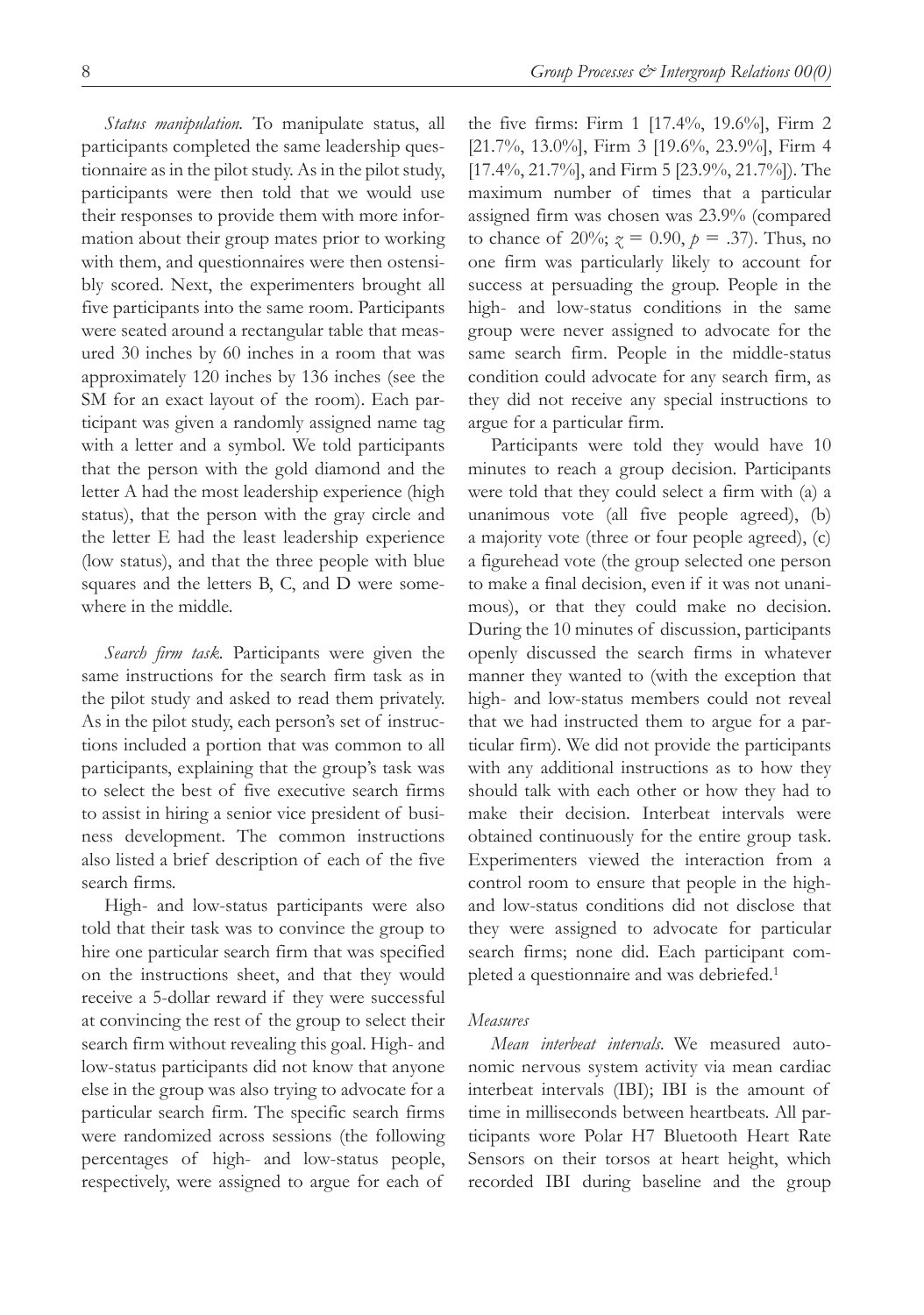*Status manipulation.* To manipulate status, all participants completed the same leadership questionnaire as in the pilot study. As in the pilot study, participants were then told that we would use their responses to provide them with more information about their group mates prior to working with them, and questionnaires were then ostensibly scored. Next, the experimenters brought all five participants into the same room. Participants were seated around a rectangular table that measured 30 inches by 60 inches in a room that was approximately 120 inches by 136 inches (see the SM for an exact layout of the room). Each participant was given a randomly assigned name tag with a letter and a symbol. We told participants that the person with the gold diamond and the letter A had the most leadership experience (high status), that the person with the gray circle and the letter E had the least leadership experience (low status), and that the three people with blue squares and the letters B, C, and D were somewhere in the middle.

*Search firm task.* Participants were given the same instructions for the search firm task as in the pilot study and asked to read them privately. As in the pilot study, each person's set of instructions included a portion that was common to all participants, explaining that the group's task was to select the best of five executive search firms to assist in hiring a senior vice president of business development. The common instructions also listed a brief description of each of the five search firms.

High- and low-status participants were also told that their task was to convince the group to hire one particular search firm that was specified on the instructions sheet, and that they would receive a 5-dollar reward if they were successful at convincing the rest of the group to select their search firm without revealing this goal. High- and low-status participants did not know that anyone else in the group was also trying to advocate for a particular search firm. The specific search firms were randomized across sessions (the following percentages of high- and low-status people, respectively, were assigned to argue for each of

the five firms: Firm 1 [17.4%, 19.6%], Firm 2 [21.7%, 13.0%], Firm 3 [19.6%, 23.9%], Firm 4 [17.4%, 21.7%], and Firm 5 [23.9%, 21.7%]). The maximum number of times that a particular assigned firm was chosen was 23.9% (compared to chance of 20%;  $\zeta = 0.90$ ,  $p = .37$ ). Thus, no one firm was particularly likely to account for success at persuading the group. People in the high- and low-status conditions in the same group were never assigned to advocate for the same search firm. People in the middle-status condition could advocate for any search firm, as they did not receive any special instructions to argue for a particular firm.

Participants were told they would have 10 minutes to reach a group decision. Participants were told that they could select a firm with (a) a unanimous vote (all five people agreed), (b) a majority vote (three or four people agreed), (c) a figurehead vote (the group selected one person to make a final decision, even if it was not unanimous), or that they could make no decision. During the 10 minutes of discussion, participants openly discussed the search firms in whatever manner they wanted to (with the exception that high- and low-status members could not reveal that we had instructed them to argue for a particular firm). We did not provide the participants with any additional instructions as to how they should talk with each other or how they had to make their decision. Interbeat intervals were obtained continuously for the entire group task. Experimenters viewed the interaction from a control room to ensure that people in the highand low-status conditions did not disclose that they were assigned to advocate for particular search firms; none did. Each participant completed a questionnaire and was debriefed.1

#### *Measures*

*Mean interbeat intervals.* We measured autonomic nervous system activity via mean cardiac interbeat intervals (IBI); IBI is the amount of time in milliseconds between heartbeats. All participants wore Polar H7 Bluetooth Heart Rate Sensors on their torsos at heart height, which recorded IBI during baseline and the group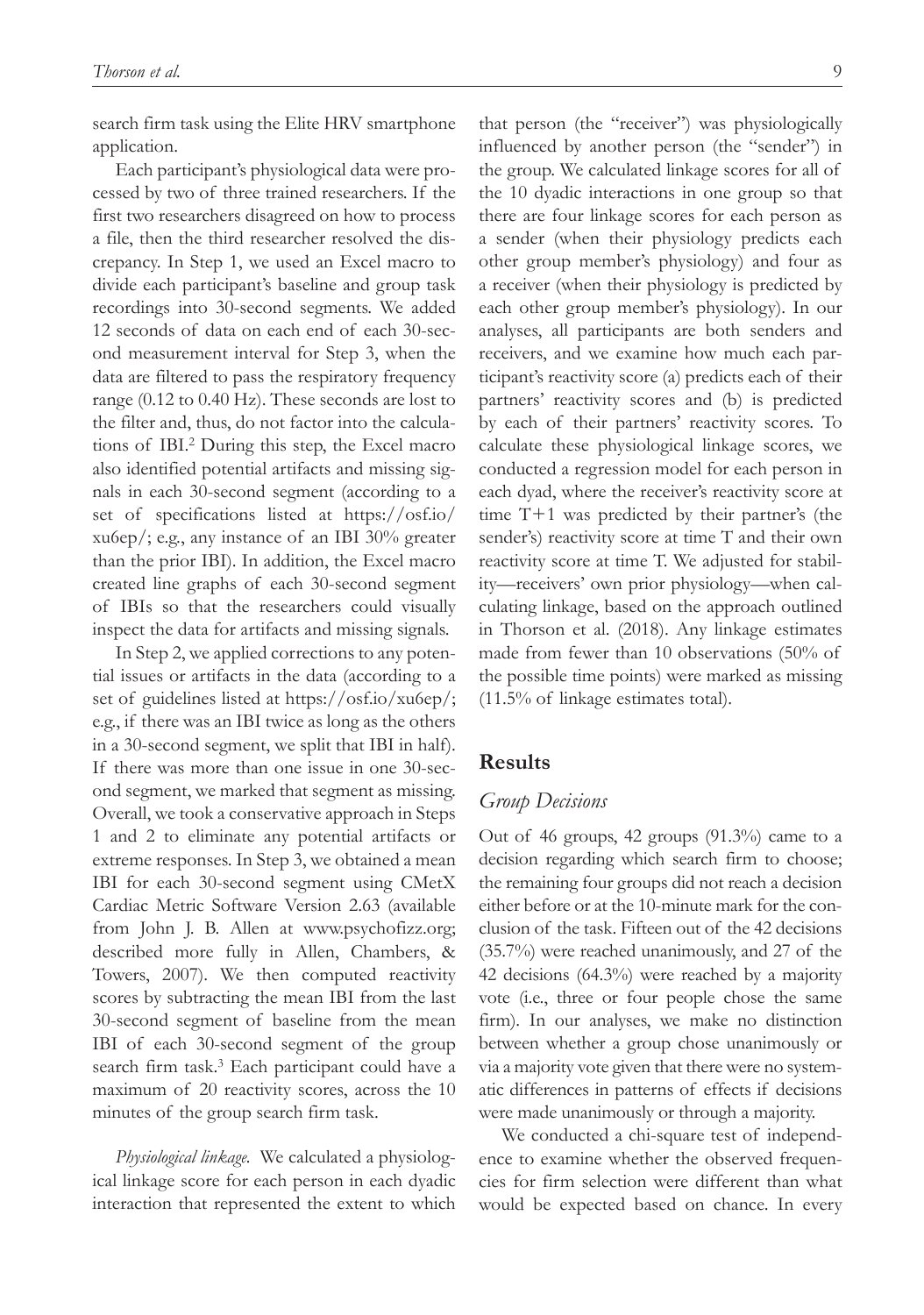search firm task using the Elite HRV smartphone application.

Each participant's physiological data were processed by two of three trained researchers. If the first two researchers disagreed on how to process a file, then the third researcher resolved the discrepancy. In Step 1, we used an Excel macro to divide each participant's baseline and group task recordings into 30-second segments. We added 12 seconds of data on each end of each 30-second measurement interval for Step 3, when the data are filtered to pass the respiratory frequency range (0.12 to 0.40 Hz). These seconds are lost to the filter and, thus, do not factor into the calculations of IBI.2 During this step, the Excel macro also identified potential artifacts and missing signals in each 30-second segment (according to a set of specifications listed at [https://osf.io/](https://osf.io/xu6ep/) [xu6ep/;](https://osf.io/xu6ep/) e.g., any instance of an IBI 30% greater than the prior IBI). In addition, the Excel macro created line graphs of each 30-second segment of IBIs so that the researchers could visually inspect the data for artifacts and missing signals.

In Step 2, we applied corrections to any potential issues or artifacts in the data (according to a set of guidelines listed at [https://osf.io/xu6ep/;](https://osf.io/xu6ep/) e.g., if there was an IBI twice as long as the others in a 30-second segment, we split that IBI in half). If there was more than one issue in one 30-second segment, we marked that segment as missing. Overall, we took a conservative approach in Steps 1 and 2 to eliminate any potential artifacts or extreme responses. In Step 3, we obtained a mean IBI for each 30-second segment using CMetX Cardiac Metric Software Version 2.63 (available from John J. B. Allen at [www.psychofizz.org;](www.psychofizz.org) described more fully in Allen, Chambers, & Towers, 2007). We then computed reactivity scores by subtracting the mean IBI from the last 30-second segment of baseline from the mean IBI of each 30-second segment of the group search firm task.<sup>3</sup> Each participant could have a maximum of 20 reactivity scores, across the 10 minutes of the group search firm task.

*Physiological linkage.* We calculated a physiological linkage score for each person in each dyadic interaction that represented the extent to which that person (the "receiver") was physiologically influenced by another person (the "sender") in the group. We calculated linkage scores for all of the 10 dyadic interactions in one group so that there are four linkage scores for each person as a sender (when their physiology predicts each other group member's physiology) and four as a receiver (when their physiology is predicted by each other group member's physiology). In our analyses, all participants are both senders and receivers, and we examine how much each participant's reactivity score (a) predicts each of their partners' reactivity scores and (b) is predicted by each of their partners' reactivity scores. To calculate these physiological linkage scores, we conducted a regression model for each person in each dyad, where the receiver's reactivity score at time T+1 was predicted by their partner's (the sender's) reactivity score at time T and their own reactivity score at time T. We adjusted for stability—receivers' own prior physiology—when calculating linkage, based on the approach outlined in Thorson et al. (2018). Any linkage estimates made from fewer than 10 observations (50% of the possible time points) were marked as missing (11.5% of linkage estimates total).

#### **Results**

#### *Group Decisions*

Out of 46 groups, 42 groups (91.3%) came to a decision regarding which search firm to choose; the remaining four groups did not reach a decision either before or at the 10-minute mark for the conclusion of the task. Fifteen out of the 42 decisions (35.7%) were reached unanimously, and 27 of the 42 decisions (64.3%) were reached by a majority vote (i.e., three or four people chose the same firm). In our analyses, we make no distinction between whether a group chose unanimously or via a majority vote given that there were no systematic differences in patterns of effects if decisions were made unanimously or through a majority.

We conducted a chi-square test of independence to examine whether the observed frequencies for firm selection were different than what would be expected based on chance. In every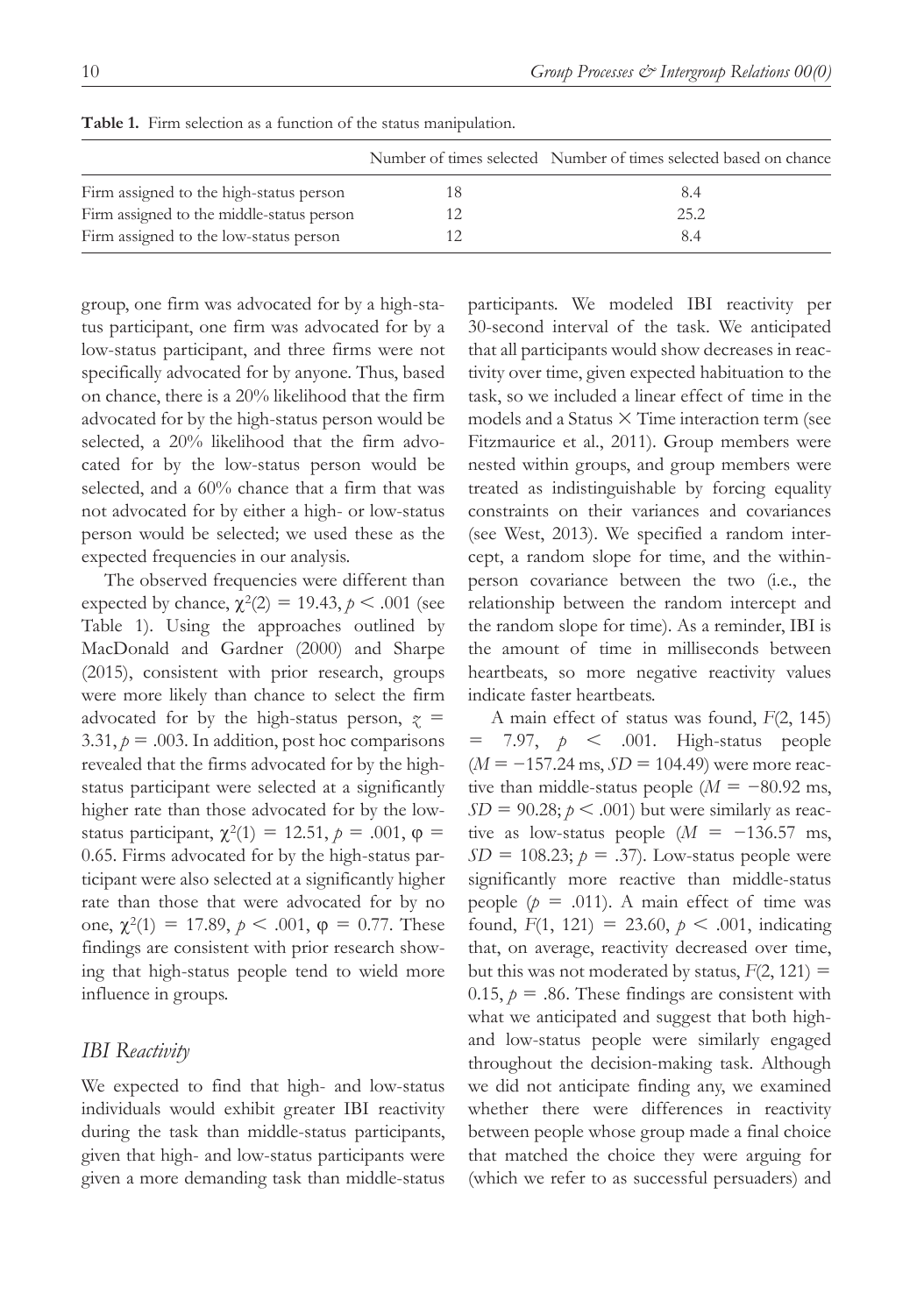|                                           | Number of times selected Number of times selected based on chance |
|-------------------------------------------|-------------------------------------------------------------------|
| Firm assigned to the high-status person   | 8.4                                                               |
| Firm assigned to the middle-status person | 25.2                                                              |
| Firm assigned to the low-status person    | 8.4                                                               |

**Table 1.** Firm selection as a function of the status manipulation.

group, one firm was advocated for by a high-status participant, one firm was advocated for by a low-status participant, and three firms were not specifically advocated for by anyone. Thus, based on chance, there is a 20% likelihood that the firm advocated for by the high-status person would be selected, a 20% likelihood that the firm advocated for by the low-status person would be selected, and a 60% chance that a firm that was not advocated for by either a high- or low-status person would be selected; we used these as the expected frequencies in our analysis.

The observed frequencies were different than expected by chance,  $\chi^2(2) = 19.43$ ,  $p < .001$  (see Table 1). Using the approaches outlined by MacDonald and Gardner (2000) and Sharpe (2015), consistent with prior research, groups were more likely than chance to select the firm advocated for by the high-status person,  $\zeta$  = 3.31,  $p = .003$ . In addition, post hoc comparisons revealed that the firms advocated for by the highstatus participant were selected at a significantly higher rate than those advocated for by the lowstatus participant,  $\chi^2(1) = 12.51, p = .001, φ =$ 0.65. Firms advocated for by the high-status participant were also selected at a significantly higher rate than those that were advocated for by no one,  $\chi^2(1) = 17.89$ ,  $p < .001$ ,  $\varphi = 0.77$ . These findings are consistent with prior research showing that high-status people tend to wield more influence in groups.

#### *IBI Reactivity*

We expected to find that high- and low-status individuals would exhibit greater IBI reactivity during the task than middle-status participants, given that high- and low-status participants were given a more demanding task than middle-status

participants. We modeled IBI reactivity per 30-second interval of the task. We anticipated that all participants would show decreases in reactivity over time, given expected habituation to the task, so we included a linear effect of time in the models and a Status  $\times$  Time interaction term (see Fitzmaurice et al., 2011). Group members were nested within groups, and group members were treated as indistinguishable by forcing equality constraints on their variances and covariances (see West, 2013). We specified a random intercept, a random slope for time, and the withinperson covariance between the two (i.e., the relationship between the random intercept and the random slope for time). As a reminder, IBI is the amount of time in milliseconds between heartbeats, so more negative reactivity values indicate faster heartbeats.

A main effect of status was found, *F*(2, 145)  $= 7.97, p \leq .001$ . High-status people (*M* = −157.24 ms, *SD* = 104.49) were more reactive than middle-status people ( $M = -80.92$  ms,  $SD = 90.28; p < .001$ ) but were similarly as reactive as low-status people ( $M = -136.57$  ms,  $SD = 108.23$ ;  $p = .37$ ). Low-status people were significantly more reactive than middle-status people  $(p = .011)$ . A main effect of time was found,  $F(1, 121) = 23.60, p \le .001$ , indicating that, on average, reactivity decreased over time, but this was not moderated by status,  $F(2, 121) =$ 0.15,  $p = 0.86$ . These findings are consistent with what we anticipated and suggest that both highand low-status people were similarly engaged throughout the decision-making task. Although we did not anticipate finding any, we examined whether there were differences in reactivity between people whose group made a final choice that matched the choice they were arguing for (which we refer to as successful persuaders) and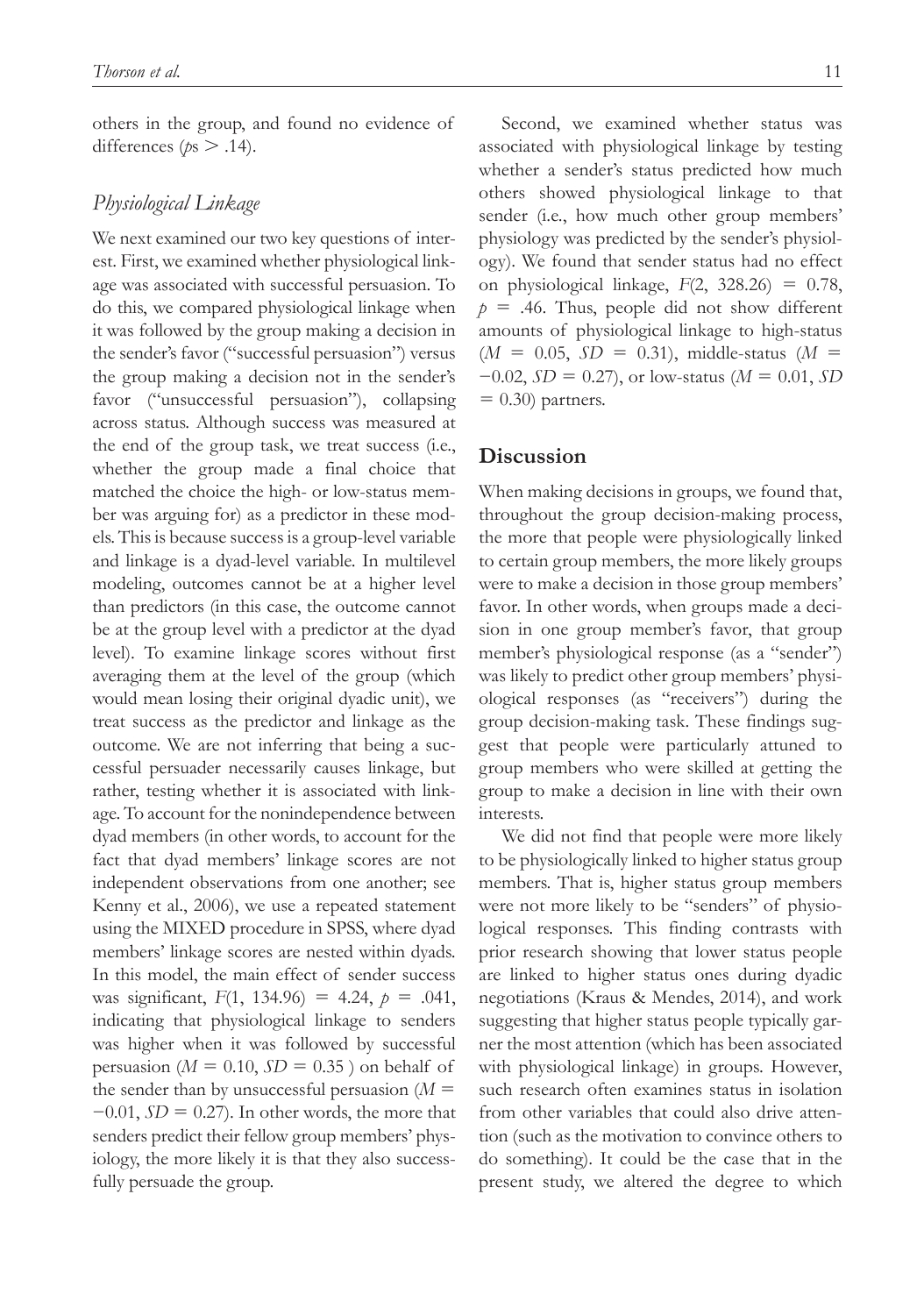others in the group, and found no evidence of differences ( $ps > .14$ ).

#### *Physiological Linkage*

We next examined our two key questions of interest. First, we examined whether physiological linkage was associated with successful persuasion. To do this, we compared physiological linkage when it was followed by the group making a decision in the sender's favor ("successful persuasion") versus the group making a decision not in the sender's favor ("unsuccessful persuasion"), collapsing across status. Although success was measured at the end of the group task, we treat success (i.e., whether the group made a final choice that matched the choice the high- or low-status member was arguing for) as a predictor in these models. This is because success is a group-level variable and linkage is a dyad-level variable. In multilevel modeling, outcomes cannot be at a higher level than predictors (in this case, the outcome cannot be at the group level with a predictor at the dyad level). To examine linkage scores without first averaging them at the level of the group (which would mean losing their original dyadic unit), we treat success as the predictor and linkage as the outcome. We are not inferring that being a successful persuader necessarily causes linkage, but rather, testing whether it is associated with linkage. To account for the nonindependence between dyad members (in other words, to account for the fact that dyad members' linkage scores are not independent observations from one another; see Kenny et al., 2006), we use a repeated statement using the MIXED procedure in SPSS, where dyad members' linkage scores are nested within dyads. In this model, the main effect of sender success was significant,  $F(1, 134.96) = 4.24$ ,  $p = .041$ , indicating that physiological linkage to senders was higher when it was followed by successful persuasion ( $M = 0.10$ ,  $SD = 0.35$ ) on behalf of the sender than by unsuccessful persuasion  $(M =$ −0.01, *SD* = 0.27). In other words, the more that senders predict their fellow group members' physiology, the more likely it is that they also successfully persuade the group.

Second, we examined whether status was associated with physiological linkage by testing whether a sender's status predicted how much others showed physiological linkage to that sender (i.e., how much other group members' physiology was predicted by the sender's physiology). We found that sender status had no effect on physiological linkage, *F*(2, 328.26) = 0.78,  $p = .46$ . Thus, people did not show different amounts of physiological linkage to high-status (*M* = 0.05, *SD* = 0.31), middle-status (*M* = −0.02, *SD* = 0.27), or low-status (*M* = 0.01, *SD*  $= 0.30$ ) partners.

## **Discussion**

When making decisions in groups, we found that, throughout the group decision-making process, the more that people were physiologically linked to certain group members, the more likely groups were to make a decision in those group members' favor. In other words, when groups made a decision in one group member's favor, that group member's physiological response (as a "sender") was likely to predict other group members' physiological responses (as "receivers") during the group decision-making task. These findings suggest that people were particularly attuned to group members who were skilled at getting the group to make a decision in line with their own interests.

We did not find that people were more likely to be physiologically linked to higher status group members. That is, higher status group members were not more likely to be "senders" of physiological responses. This finding contrasts with prior research showing that lower status people are linked to higher status ones during dyadic negotiations (Kraus & Mendes, 2014), and work suggesting that higher status people typically garner the most attention (which has been associated with physiological linkage) in groups. However, such research often examines status in isolation from other variables that could also drive attention (such as the motivation to convince others to do something). It could be the case that in the present study, we altered the degree to which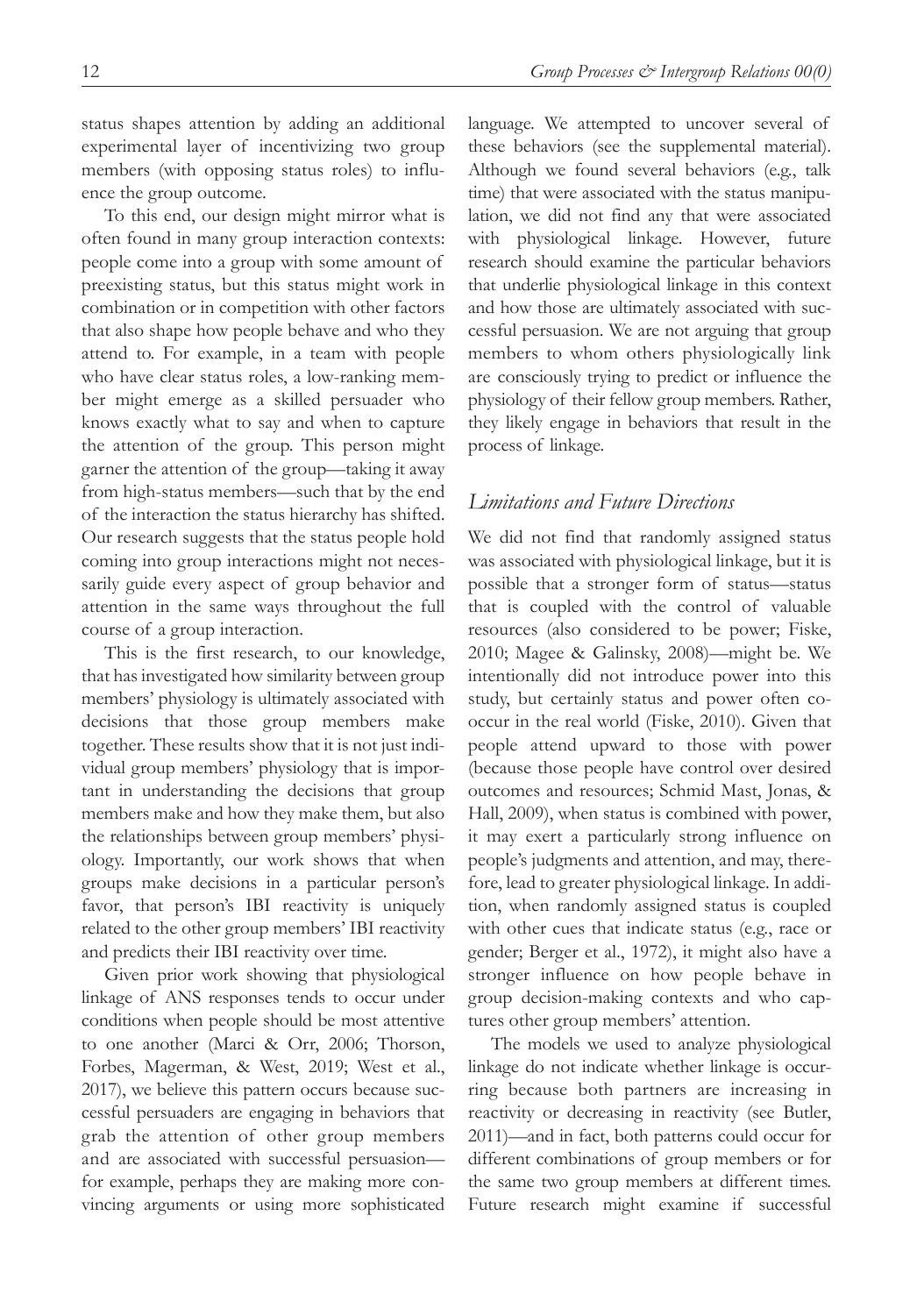status shapes attention by adding an additional experimental layer of incentivizing two group members (with opposing status roles) to influence the group outcome.

To this end, our design might mirror what is often found in many group interaction contexts: people come into a group with some amount of preexisting status, but this status might work in combination or in competition with other factors that also shape how people behave and who they attend to. For example, in a team with people who have clear status roles, a low-ranking member might emerge as a skilled persuader who knows exactly what to say and when to capture the attention of the group. This person might garner the attention of the group—taking it away from high-status members—such that by the end of the interaction the status hierarchy has shifted. Our research suggests that the status people hold coming into group interactions might not necessarily guide every aspect of group behavior and attention in the same ways throughout the full course of a group interaction.

This is the first research, to our knowledge, that has investigated how similarity between group members' physiology is ultimately associated with decisions that those group members make together. These results show that it is not just individual group members' physiology that is important in understanding the decisions that group members make and how they make them, but also the relationships between group members' physiology. Importantly, our work shows that when groups make decisions in a particular person's favor, that person's IBI reactivity is uniquely related to the other group members' IBI reactivity and predicts their IBI reactivity over time.

Given prior work showing that physiological linkage of ANS responses tends to occur under conditions when people should be most attentive to one another (Marci & Orr, 2006; Thorson, Forbes, Magerman, & West, 2019; West et al., 2017), we believe this pattern occurs because successful persuaders are engaging in behaviors that grab the attention of other group members and are associated with successful persuasion for example, perhaps they are making more convincing arguments or using more sophisticated

language. We attempted to uncover several of these behaviors (see the supplemental material). Although we found several behaviors (e.g., talk time) that were associated with the status manipulation, we did not find any that were associated with physiological linkage. However, future research should examine the particular behaviors that underlie physiological linkage in this context and how those are ultimately associated with successful persuasion. We are not arguing that group members to whom others physiologically link are consciously trying to predict or influence the physiology of their fellow group members. Rather, they likely engage in behaviors that result in the process of linkage.

# *Limitations and Future Directions*

We did not find that randomly assigned status was associated with physiological linkage, but it is possible that a stronger form of status—status that is coupled with the control of valuable resources (also considered to be power; Fiske, 2010; Magee & Galinsky, 2008)—might be. We intentionally did not introduce power into this study, but certainly status and power often cooccur in the real world (Fiske, 2010). Given that people attend upward to those with power (because those people have control over desired outcomes and resources; Schmid Mast, Jonas, & Hall, 2009), when status is combined with power, it may exert a particularly strong influence on people's judgments and attention, and may, therefore, lead to greater physiological linkage. In addition, when randomly assigned status is coupled with other cues that indicate status (e.g., race or gender; Berger et al., 1972), it might also have a stronger influence on how people behave in group decision-making contexts and who captures other group members' attention.

The models we used to analyze physiological linkage do not indicate whether linkage is occurring because both partners are increasing in reactivity or decreasing in reactivity (see Butler, 2011)—and in fact, both patterns could occur for different combinations of group members or for the same two group members at different times. Future research might examine if successful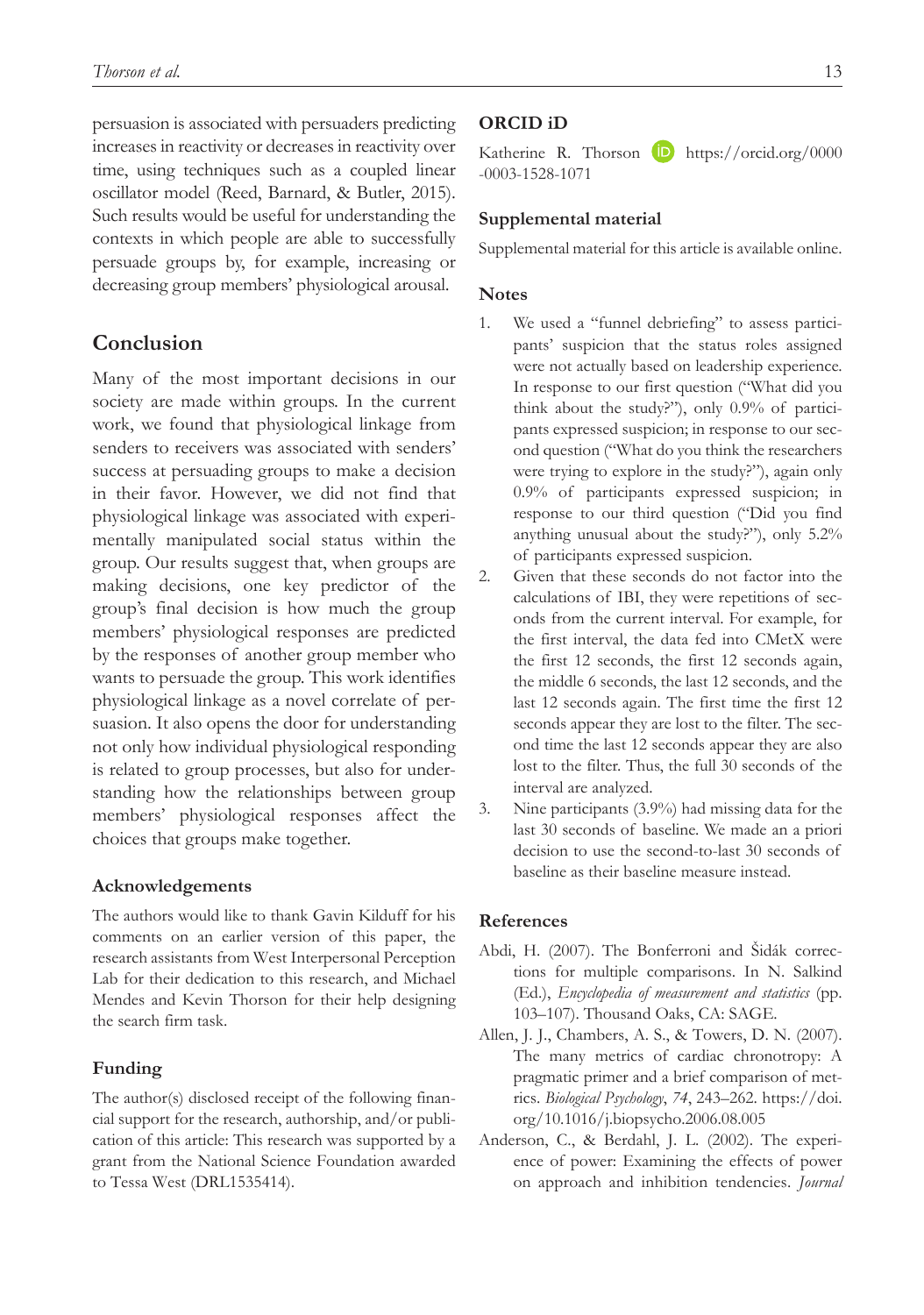persuasion is associated with persuaders predicting increases in reactivity or decreases in reactivity over time, using techniques such as a coupled linear oscillator model (Reed, Barnard, & Butler, 2015). Such results would be useful for understanding the contexts in which people are able to successfully persuade groups by, for example, increasing or decreasing group members' physiological arousal.

# **Conclusion**

Many of the most important decisions in our society are made within groups. In the current work, we found that physiological linkage from senders to receivers was associated with senders' success at persuading groups to make a decision in their favor. However, we did not find that physiological linkage was associated with experimentally manipulated social status within the group. Our results suggest that, when groups are making decisions, one key predictor of the group's final decision is how much the group members' physiological responses are predicted by the responses of another group member who wants to persuade the group. This work identifies physiological linkage as a novel correlate of persuasion. It also opens the door for understanding not only how individual physiological responding is related to group processes, but also for understanding how the relationships between group members' physiological responses affect the choices that groups make together.

#### **Acknowledgements**

The authors would like to thank Gavin Kilduff for his comments on an earlier version of this paper, the research assistants from West Interpersonal Perception Lab for their dedication to this research, and Michael Mendes and Kevin Thorson for their help designing the search firm task.

#### **Funding**

The author(s) disclosed receipt of the following financial support for the research, authorship, and/or publication of this article: This research was supported by a grant from the National Science Foundation awarded to Tessa West (DRL1535414).

#### **ORCID iD**

Katherine R. Thorson **D** [https://orcid.org/0000](https://orcid.org/0000-0003-1528-1071) [-0003-1528-1071](https://orcid.org/0000-0003-1528-1071)

#### **Supplemental material**

Supplemental material for this article is available online.

#### **Notes**

- 1. We used a "funnel debriefing" to assess participants' suspicion that the status roles assigned were not actually based on leadership experience. In response to our first question ("What did you think about the study?"), only 0.9% of participants expressed suspicion; in response to our second question ("What do you think the researchers were trying to explore in the study?"), again only 0.9% of participants expressed suspicion; in response to our third question ("Did you find anything unusual about the study?"), only 5.2% of participants expressed suspicion.
- 2. Given that these seconds do not factor into the calculations of IBI, they were repetitions of seconds from the current interval. For example, for the first interval, the data fed into CMetX were the first 12 seconds, the first 12 seconds again, the middle 6 seconds, the last 12 seconds, and the last 12 seconds again. The first time the first 12 seconds appear they are lost to the filter. The second time the last 12 seconds appear they are also lost to the filter. Thus, the full 30 seconds of the interval are analyzed.
- 3. Nine participants (3.9%) had missing data for the last 30 seconds of baseline. We made an a priori decision to use the second-to-last 30 seconds of baseline as their baseline measure instead.

#### **References**

- Abdi, H. (2007). The Bonferroni and Šidák corrections for multiple comparisons. In N. Salkind (Ed.), *Encyclopedia of measurement and statistics* (pp. 103–107). Thousand Oaks, CA: SAGE.
- Allen, J. J., Chambers, A. S., & Towers, D. N. (2007). The many metrics of cardiac chronotropy: A pragmatic primer and a brief comparison of metrics. *Biological Psychology*, *74*, 243–262. [https://doi.](https://doi.org/10.1016/j.biopsycho.2006.08.005) [org/10.1016/j.biopsycho.2006.08.005](https://doi.org/10.1016/j.biopsycho.2006.08.005)
- Anderson, C., & Berdahl, J. L. (2002). The experience of power: Examining the effects of power on approach and inhibition tendencies. *Journal*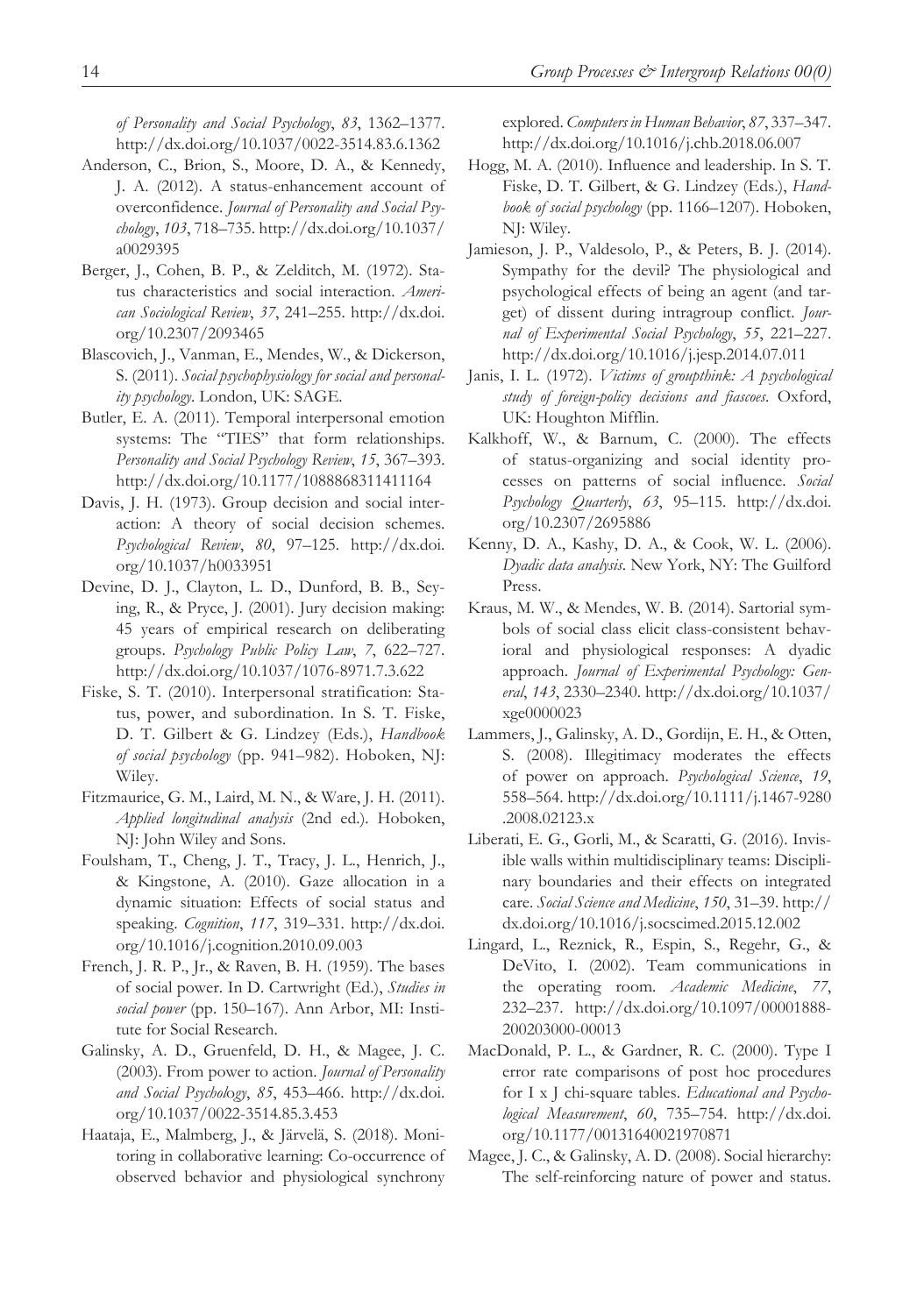*of Personality and Social Psychology*, *83*, 1362–1377. <http://dx.doi.org/10.1037/0022-3514.83.6.1362>

- Anderson, C., Brion, S., Moore, D. A., & Kennedy, J. A. (2012). A status-enhancement account of overconfidence. *Journal of Personality and Social Psychology*, *103*, 718–735. [http://dx.doi.org/10.1037/](http://dx.doi.org/10.1037/a0029395) [a0029395](http://dx.doi.org/10.1037/a0029395)
- Berger, J., Cohen, B. P., & Zelditch, M. (1972). Status characteristics and social interaction. *American Sociological Review*, *37*, 241–255. [http://dx.doi.](http://dx.doi.org/10.2307/2093465) [org/10.2307/2093465](http://dx.doi.org/10.2307/2093465)
- Blascovich, J., Vanman, E., Mendes, W., & Dickerson, S. (2011). *Social psychophysiology for social and personality psychology*. London, UK: SAGE.
- Butler, E. A. (2011). Temporal interpersonal emotion systems: The "TIES" that form relationships. *Personality and Social Psychology Review*, *15*, 367–393. <http://dx.doi.org/10.1177/1088868311411164>
- Davis, J. H. (1973). Group decision and social interaction: A theory of social decision schemes. *Psychological Review*, *80*, 97–125. [http://dx.doi.](http://dx.doi.org/10.1037/h0033951) [org/10.1037/h0033951](http://dx.doi.org/10.1037/h0033951)
- Devine, D. J., Clayton, L. D., Dunford, B. B., Seying, R., & Pryce, J. (2001). Jury decision making: 45 years of empirical research on deliberating groups. *Psychology Public Policy Law*, *7*, 622–727. <http://dx.doi.org/10.1037/1076-8971.7.3.622>
- Fiske, S. T. (2010). Interpersonal stratification: Status, power, and subordination. In S. T. Fiske, D. T. Gilbert & G. Lindzey (Eds.), *Handbook of social psychology* (pp. 941–982). Hoboken, NJ: Wiley.
- Fitzmaurice, G. M., Laird, M. N., & Ware, J. H. (2011). *Applied longitudinal analysis* (2nd ed.). Hoboken, NJ: John Wiley and Sons.
- Foulsham, T., Cheng, J. T., Tracy, J. L., Henrich, J., & Kingstone, A. (2010). Gaze allocation in a dynamic situation: Effects of social status and speaking. *Cognition*, *117*, 319–331. [http://dx.doi.](http://dx.doi.org/10.1016/j.cognition.2010.09.003) [org/10.1016/j.cognition.2010.09.003](http://dx.doi.org/10.1016/j.cognition.2010.09.003)
- French, J. R. P., Jr., & Raven, B. H. (1959). The bases of social power. In D. Cartwright (Ed.), *Studies in social power* (pp. 150–167). Ann Arbor, MI: Institute for Social Research.
- Galinsky, A. D., Gruenfeld, D. H., & Magee, J. C. (2003). From power to action. *Journal of Personality and Social Psychol*o*gy*, *85*, 453–466. [http://dx.doi.](http://dx.doi.org/10.1037/0022-3514.85.3.453) [org/10.1037/0022-3514.85.3.453](http://dx.doi.org/10.1037/0022-3514.85.3.453)
- Haataja, E., Malmberg, J., & Järvelä, S. (2018). Monitoring in collaborative learning: Co-occurrence of observed behavior and physiological synchrony

explored. *Computers in Human Behavior*, *87*, 337–347. <http://dx.doi.org/10.1016/j.chb.2018.06.007>

- Hogg, M. A. (2010). Influence and leadership. In S. T. Fiske, D. T. Gilbert, & G. Lindzey (Eds.), *Handbook of social psychology* (pp. 1166–1207). Hoboken, NJ: Wiley.
- Jamieson, J. P., Valdesolo, P., & Peters, B. J. (2014). Sympathy for the devil? The physiological and psychological effects of being an agent (and target) of dissent during intragroup conflict. *Journal of Experimental Social Psychology*, *55*, 221–227. <http://dx.doi.org/10.1016/j.jesp.2014.07.011>
- Janis, I. L. (1972). *Victims of groupthink: A psychological study of foreign-policy decisions and fiascoes*. Oxford, UK: Houghton Mifflin.
- Kalkhoff, W., & Barnum, C. (2000). The effects of status-organizing and social identity processes on patterns of social influence. *Social Psychology Quarterly*, *63*, 95–115. [http://dx.doi.](http://dx.doi.org/10.2307/2695886) [org/10.2307/2695886](http://dx.doi.org/10.2307/2695886)
- Kenny, D. A., Kashy, D. A., & Cook, W. L. (2006). *Dyadic data analysis*. New York, NY: The Guilford Press.
- Kraus, M. W., & Mendes, W. B. (2014). Sartorial symbols of social class elicit class-consistent behavioral and physiological responses: A dyadic approach. *Journal of Experimental Psychology: General*, *143*, 2330–2340. [http://dx.doi.org/10.1037/](http://dx.doi.org/10.1037/xge0000023) [xge0000023](http://dx.doi.org/10.1037/xge0000023)
- Lammers, J., Galinsky, A. D., Gordijn, E. H., & Otten, S. (2008). Illegitimacy moderates the effects of power on approach. *Psychological Science*, *19*, 558–564. [http://dx.doi.org/10.1111/j.1467-9280](http://dx.doi.org/10.1111/j.1467-9280.2008.02123.x) [.2008.02123.x](http://dx.doi.org/10.1111/j.1467-9280.2008.02123.x)
- Liberati, E. G., Gorli, M., & Scaratti, G. (2016). Invisible walls within multidisciplinary teams: Disciplinary boundaries and their effects on integrated care. *Social Science and Medicine*, *150*, 31–39. [http://](http://dx.doi.org/10.1016/j.socscimed.2015.12.002) [dx.doi.org/10.1016/j.socscimed.2015.12.002](http://dx.doi.org/10.1016/j.socscimed.2015.12.002)
- Lingard, L., Reznick, R., Espin, S., Regehr, G., & DeVito, I. (2002). Team communications in the operating room. *Academic Medicine*, *77*, 232–237. [http://dx.doi.org/10.1097/00001888-](http://dx.doi.org/10.1097/00001888-200203000-00013) [200203000-00013](http://dx.doi.org/10.1097/00001888-200203000-00013)
- MacDonald, P. L., & Gardner, R. C. (2000). Type I error rate comparisons of post hoc procedures for I x J chi-square tables. *Educational and Psychological Measurement*, *60*, 735–754. [http://dx.doi.](http://dx.doi.org/10.1177/00131640021970871) [org/10.1177/00131640021970871](http://dx.doi.org/10.1177/00131640021970871)
- Magee, J. C., & Galinsky, A. D. (2008). Social hierarchy: The self-reinforcing nature of power and status.